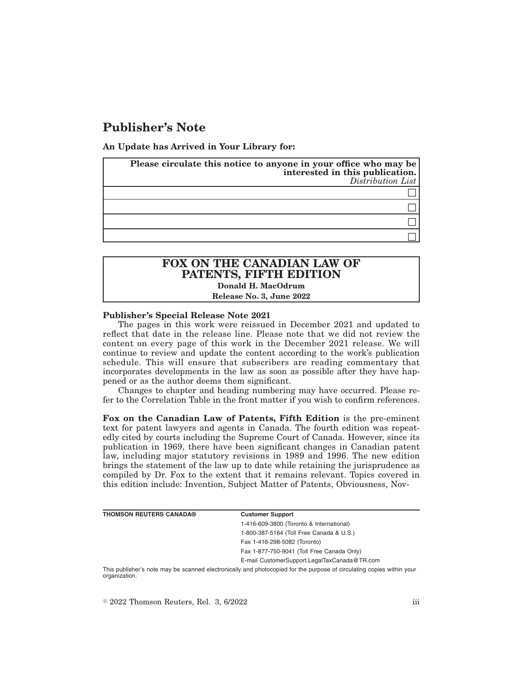# **Publisher's Note**

**An Update has Arrived in Your Library for:**

| Please circulate this notice to anyone in your office who may be<br>interested in this publication.<br>Distribution List |
|--------------------------------------------------------------------------------------------------------------------------|
|                                                                                                                          |
|                                                                                                                          |
|                                                                                                                          |
|                                                                                                                          |

# **FOX ON THE CANADIAN LAW OF PATENTS, FIFTH EDITION Donald H. MacOdrum Release No. 3, June 2022**

# **Publisher's Special Release Note 2021**

The pages in this work were reissued in December 2021 and updated to reflect that date in the release line. Please note that we did not review the content on every page of this work in the December 2021 release. We will continue to review and update the content according to the work's publication schedule. This will ensure that subscribers are reading commentary that incorporates developments in the law as soon as possible after they have happened or as the author deems them significant.

Changes to chapter and heading numbering may have occurred. Please refer to the Correlation Table in the front matter if you wish to confirm references.

**Fox on the Canadian Law of Patents, Fifth Edition** is the pre-eminent text for patent lawyers and agents in Canada. The fourth edition was repeatedly cited by courts including the Supreme Court of Canada. However, since its publication in 1969, there have been significant changes in Canadian patent law, including major statutory revisions in 1989 and 1996. The new edition brings the statement of the law up to date while retaining the jurisprudence as compiled by Dr. Fox to the extent that it remains relevant. Topics covered in this edition include: Invention, Subject Matter of Patents, Obviousness, Nov-

| <b>THOMSON REUTERS CANADA®</b>                                                                                         | <b>Customer Support</b>                      |  |
|------------------------------------------------------------------------------------------------------------------------|----------------------------------------------|--|
|                                                                                                                        | 1-416-609-3800 (Toronto & International)     |  |
|                                                                                                                        | 1-800-387-5164 (Toll Free Canada & U.S.)     |  |
|                                                                                                                        | Fax 1-416-298-5082 (Toronto)                 |  |
|                                                                                                                        | Fax 1-877-750-9041 (Toll Free Canada Only)   |  |
|                                                                                                                        | E-mail CustomerSupport.LegalTaxCanada@TR.com |  |
| This publisher's note moy be connected protropically and photogoniad for the purpose of circulating conico within your |                                              |  |

publisher's note may be scanned electronically and photocopied for the purpose of circulating copies within your This publishe<br>organization.

 $\degree$  2022 Thomson Reuters, Rel. 3, 6/2022 iii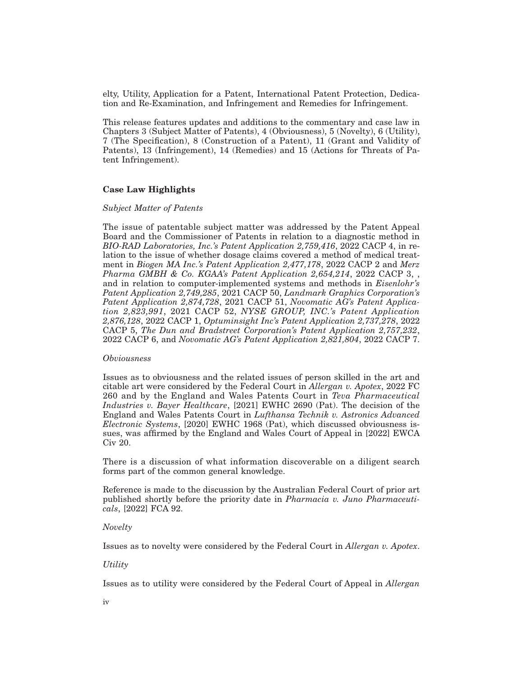elty, Utility, Application for a Patent, International Patent Protection, Dedication and Re-Examination, and Infringement and Remedies for Infringement.

This release features updates and additions to the commentary and case law in Chapters 3 (Subject Matter of Patents), 4 (Obviousness), 5 (Novelty), 6 (Utility), 7 (The Specification), 8 (Construction of a Patent), 11 (Grant and Validity of Patents), 13 (Infringement), 14 (Remedies) and 15 (Actions for Threats of Patent Infringement).

## **Case Law Highlights**

## *Subject Matter of Patents*

The issue of patentable subject matter was addressed by the Patent Appeal Board and the Commissioner of Patents in relation to a diagnostic method in *BIO-RAD Laboratories, Inc.'s Patent Application 2,759,416*, 2022 CACP 4, in relation to the issue of whether dosage claims covered a method of medical treatment in *Biogen MA Inc.'s Patent Application 2,477,178*, 2022 CACP 2 and *Merz Pharma GMBH & Co. KGAA's Patent Application 2,654,214*, 2022 CACP 3, , and in relation to computer-implemented systems and methods in *Eisenlohr's Patent Application 2,749,285*, 2021 CACP 50, *Landmark Graphics Corporation's Patent Application 2,874,728*, 2021 CACP 51, *Novomatic AG's Patent Application 2,823,991*, 2021 CACP 52, *NYSE GROUP, INC.'s Patent Application 2,876,128*, 2022 CACP 1, *Optuminsight Inc's Patent Application 2,737,278*, 2022 CACP 5, *The Dun and Bradstreet Corporation's Patent Application 2,757,232*, 2022 CACP 6, and *Novomatic AG's Patent Application 2,821,804*, 2022 CACP 7.

#### *Obviousness*

Issues as to obviousness and the related issues of person skilled in the art and citable art were considered by the Federal Court in *Allergan v. Apotex*, 2022 FC 260 and by the England and Wales Patents Court in *Teva Pharmaceutical Industries v. Bayer Healthcare*, [2021] EWHC 2690 (Pat). The decision of the England and Wales Patents Court in *Lufthansa Technik v. Astronics Advanced Electronic Systems*, [2020] EWHC 1968 (Pat), which discussed obviousness issues, was affirmed by the England and Wales Court of Appeal in [2022] EWCA Civ 20.

There is a discussion of what information discoverable on a diligent search forms part of the common general knowledge.

Reference is made to the discussion by the Australian Federal Court of prior art published shortly before the priority date in *Pharmacia v. Juno Pharmaceuticals*, [2022] FCA 92.

#### *Novelty*

Issues as to novelty were considered by the Federal Court in *Allergan v. Apotex*.

## *Utility*

Issues as to utility were considered by the Federal Court of Appeal in *Allergan*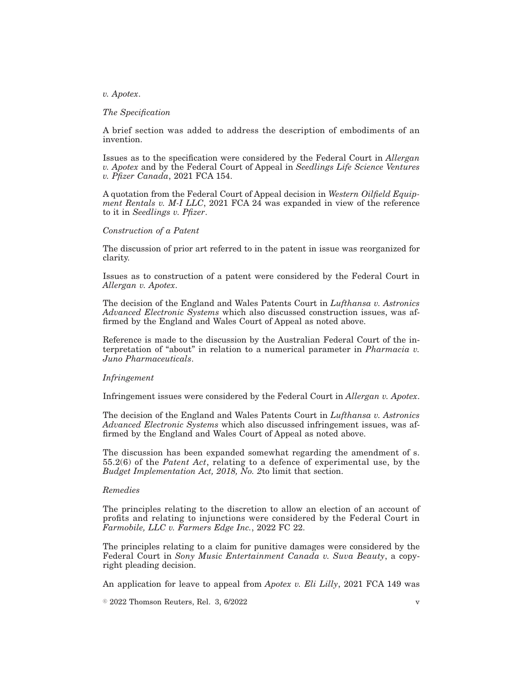### *v. Apotex*.

#### *The Specification*

A brief section was added to address the description of embodiments of an invention.

Issues as to the specification were considered by the Federal Court in *Allergan v. Apotex* and by the Federal Court of Appeal in *Seedlings Life Science Ventures v. Pfizer Canada*, 2021 FCA 154.

A quotation from the Federal Court of Appeal decision in *Western Oilfield Equipment Rentals v. M-I LLC*, 2021 FCA 24 was expanded in view of the reference to it in *Seedlings v. Pfizer*.

## *Construction of a Patent*

The discussion of prior art referred to in the patent in issue was reorganized for clarity.

Issues as to construction of a patent were considered by the Federal Court in *Allergan v. Apotex*.

The decision of the England and Wales Patents Court in *Lufthansa v. Astronics Advanced Electronic Systems* which also discussed construction issues, was affirmed by the England and Wales Court of Appeal as noted above.

Reference is made to the discussion by the Australian Federal Court of the interpretation of "about" in relation to a numerical parameter in *Pharmacia v. Juno Pharmaceuticals*.

#### *Infringement*

Infringement issues were considered by the Federal Court in *Allergan v. Apotex*.

The decision of the England and Wales Patents Court in *Lufthansa v. Astronics Advanced Electronic Systems* which also discussed infringement issues, was affirmed by the England and Wales Court of Appeal as noted above.

The discussion has been expanded somewhat regarding the amendment of s. 55.2(6) of the *Patent Act*, relating to a defence of experimental use, by the *Budget Implementation Act, 2018, No. 2*to limit that section.

#### *Remedies*

The principles relating to the discretion to allow an election of an account of profits and relating to injunctions were considered by the Federal Court in *Farmobile, LLC v. Farmers Edge Inc.*, 2022 FC 22.

The principles relating to a claim for punitive damages were considered by the Federal Court in *Sony Music Entertainment Canada v. Suva Beauty*, a copyright pleading decision.

An application for leave to appeal from *Apotex v. Eli Lilly*, 2021 FCA 149 was

 $\degree$  2022 Thomson Reuters, Rel. 3, 6/2022 v